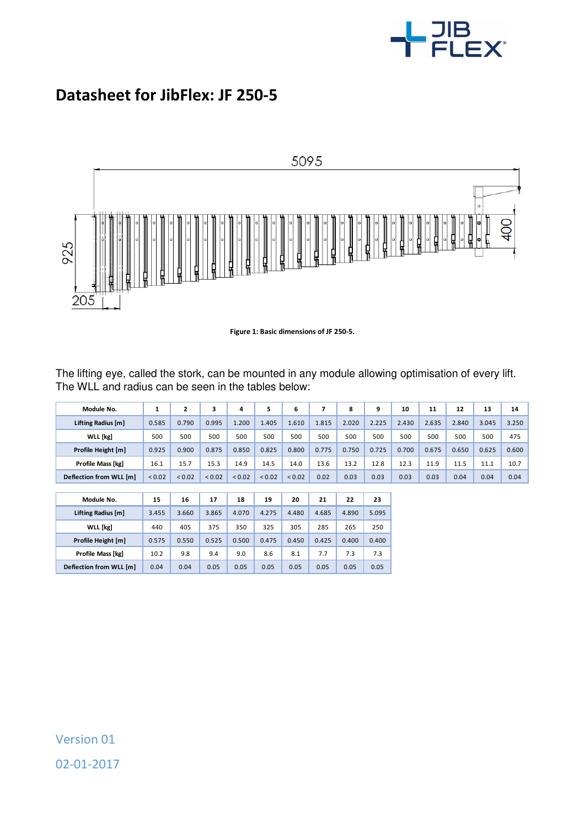

## **Datasheet for JibFlex: JF 250-5**



**Figure 1: Basic dimensions of JF 250-5.** 

The lifting eye, called the stork, can be mounted in any module allowing optimisation of every lift. The WLL and radius can be seen in the tables below:

| Module No.              | 1      | $\mathbf{z}$ | 3      | 4      | 5           | 6      | 7     | 8     | 9     | 10    | 11    | 12    | 13    | 14    |
|-------------------------|--------|--------------|--------|--------|-------------|--------|-------|-------|-------|-------|-------|-------|-------|-------|
| Lifting Radius [m]      | 0.585  | 0.790        | 0.995  | 1.200  | 1.405       | 1.610  | 1.815 | 2.020 | 2.225 | 2.430 | 2.635 | 2.840 | 3.045 | 3.250 |
| WLL [kg]                | 500    | 500          | 500    | 500    | 500         | 500    | 500   | 500   | 500   | 500   | 500   | 500   | 500   | 475   |
| Profile Height [m]      | 0.925  | 0.900        | 0.875  | 0.850  | 0.825       | 0.800  | 0.775 | 0.750 | 0.725 | 0.700 | 0.675 | 0.650 | 0.625 | 0.600 |
| Profile Mass [kg]       | 16.1   | 15.7         | 15.3   | 14.9   | 14.5        | 14.0   | 13.6  | 13.2  | 12.8  | 12.3  | 11.9  | 11.5  | 11.1  | 10.7  |
| Deflection from WLL [m] | < 0.02 | < 0.02       | < 0.02 | < 0.02 | ${}_{0.02}$ | < 0.02 | 0.02  | 0.03  | 0.03  | 0.03  | 0.03  | 0.04  | 0.04  | 0.04  |
|                         |        |              |        |        |             |        |       |       |       |       |       |       |       |       |
| Module No.              | 15     | 16           | 17     | 18     | 19          | 20     | 21    | 22    | 23    |       |       |       |       |       |
| Lifting Radius [m]      | 3.455  | 3.660        | 3.865  | 4.070  | 4.275       | 4.480  | 4.685 | 4.890 | 5.095 |       |       |       |       |       |
| WLL [kg]                | 440    | 405          | 375    | 350    | 325         | 305    | 285   | 265   | 250   |       |       |       |       |       |
| Profile Height [m]      | 0.575  | 0.550        | 0.525  | 0.500  | 0.475       | 0.450  | 0.425 | 0.400 | 0.400 |       |       |       |       |       |
| Profile Mass [kg]       | 10.2   | 9.8          | 9.4    | 9.0    | 8.6         | 8.1    | 7.7   | 7.3   | 7.3   |       |       |       |       |       |
| Deflection from WLL [m] | 0.04   | 0.04         | 0.05   | 0.05   | 0.05        | 0.05   | 0.05  | 0.05  | 0.05  |       |       |       |       |       |

l